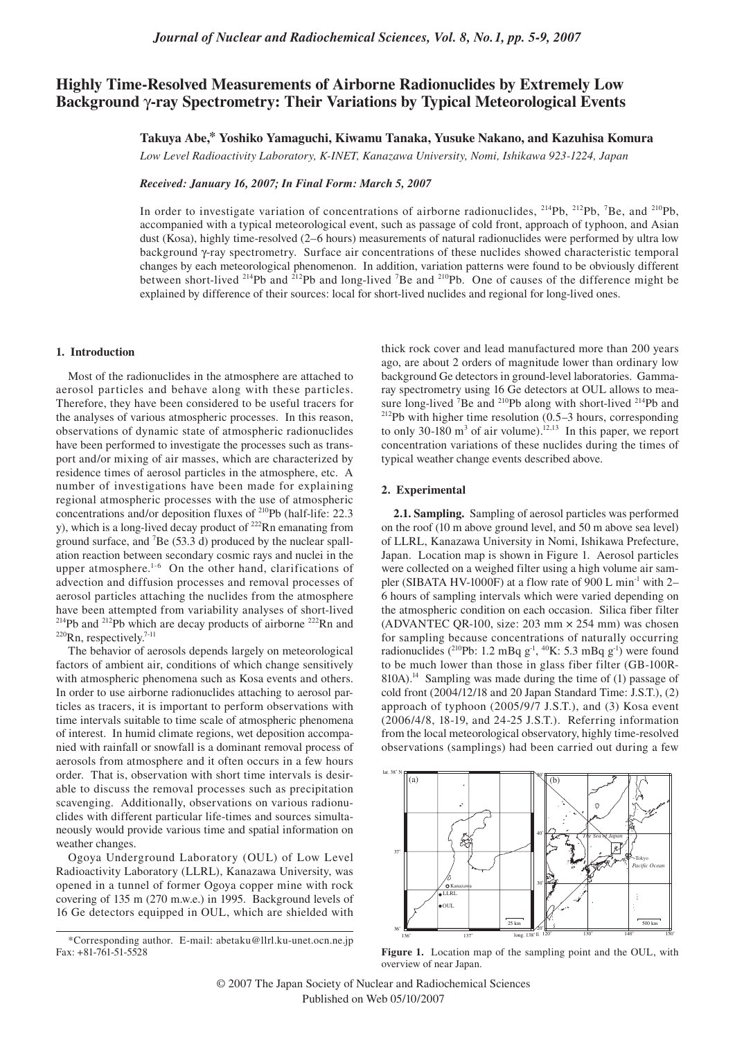# **Highly Time-Resolved Measurements of Airborne Radionuclides by Extremely Low Background** γ**-ray Spectrometry: Their Variations by Typical Meteorological Events**

**Takuya Abe,\* Yoshiko Yamaguchi, Kiwamu Tanaka, Yusuke Nakano, and Kazuhisa Komura**

*Low Level Radioactivity Laboratory, K-INET, Kanazawa University, Nomi, Ishikawa 923-1224, Japan*

*Received: January 16, 2007; In Final Form: March 5, 2007*

In order to investigate variation of concentrations of airborne radionuclides,  $^{214}Pb$ ,  $^{212}Pb$ ,  $^{7}Be$ , and  $^{210}Pb$ , accompanied with a typical meteorological event, such as passage of cold front, approach of typhoon, and Asian dust (Kosa), highly time-resolved (2–6 hours) measurements of natural radionuclides were performed by ultra low background γ-ray spectrometry. Surface air concentrations of these nuclides showed characteristic temporal changes by each meteorological phenomenon. In addition, variation patterns were found to be obviously different between short-lived <sup>214</sup>Pb and <sup>212</sup>Pb and long-lived <sup>7</sup>Be and <sup>210</sup>Pb. One of causes of the difference might be explained by difference of their sources: local for short-lived nuclides and regional for long-lived ones.

#### **1. Introduction**

Most of the radionuclides in the atmosphere are attached to aerosol particles and behave along with these particles. Therefore, they have been considered to be useful tracers for the analyses of various atmospheric processes. In this reason, observations of dynamic state of atmospheric radionuclides have been performed to investigate the processes such as transport and/or mixing of air masses, which are characterized by residence times of aerosol particles in the atmosphere, etc. A number of investigations have been made for explaining regional atmospheric processes with the use of atmospheric concentrations and/or deposition fluxes of 210Pb (half-life: 22.3 y), which is a long-lived decay product of  $^{222}$ Rn emanating from ground surface, and <sup>7</sup>Be (53.3 d) produced by the nuclear spallation reaction between secondary cosmic rays and nuclei in the upper atmosphere.<sup>1-6</sup> On the other hand, clarifications of advection and diffusion processes and removal processes of aerosol particles attaching the nuclides from the atmosphere have been attempted from variability analyses of short-lived <sup>214</sup>Pb and <sup>212</sup>Pb which are decay products of airborne <sup>222</sup>Rn and <sup>220</sup>Rn, respectively.<sup>7-11</sup>

The behavior of aerosols depends largely on meteorological factors of ambient air, conditions of which change sensitively with atmospheric phenomena such as Kosa events and others. In order to use airborne radionuclides attaching to aerosol particles as tracers, it is important to perform observations with time intervals suitable to time scale of atmospheric phenomena of interest. In humid climate regions, wet deposition accompanied with rainfall or snowfall is a dominant removal process of aerosols from atmosphere and it often occurs in a few hours order. That is, observation with short time intervals is desirable to discuss the removal processes such as precipitation scavenging. Additionally, observations on various radionuclides with different particular life-times and sources simultaneously would provide various time and spatial information on weather changes.

Ogoya Underground Laboratory (OUL) of Low Level Radioactivity Laboratory (LLRL), Kanazawa University, was opened in a tunnel of former Ogoya copper mine with rock covering of 135 m (270 m.w.e.) in 1995. Background levels of 16 Ge detectors equipped in OUL, which are shielded with thick rock cover and lead manufactured more than 200 years ago, are about 2 orders of magnitude lower than ordinary low background Ge detectors in ground-level laboratories. Gammaray spectrometry using 16 Ge detectors at OUL allows to measure long-lived <sup>7</sup>Be and <sup>210</sup>Pb along with short-lived <sup>214</sup>Pb and  $^{212}Pb$  with higher time resolution (0.5–3 hours, corresponding to only 30-180  $m<sup>3</sup>$  of air volume).<sup>12,13</sup> In this paper, we report concentration variations of these nuclides during the times of typical weather change events described above.

# **2. Experimental**

**2.1. Sampling.** Sampling of aerosol particles was performed on the roof (10 m above ground level, and 50 m above sea level) of LLRL, Kanazawa University in Nomi, Ishikawa Prefecture, Japan. Location map is shown in Figure 1. Aerosol particles were collected on a weighed filter using a high volume air sampler (SIBATA HV-1000F) at a flow rate of 900 L min<sup>-1</sup> with 2-6 hours of sampling intervals which were varied depending on the atmospheric condition on each occasion. Silica fiber filter (ADVANTEC QR-100, size:  $203$  mm  $\times$   $254$  mm) was chosen for sampling because concentrations of naturally occurring radionuclides ( $^{210}$ Pb: 1.2 mBq g<sup>-1</sup>,  $^{40}$ K: 5.3 mBq g<sup>-1</sup>) were found to be much lower than those in glass fiber filter (GB-100R-810A).<sup>14</sup> Sampling was made during the time of (1) passage of cold front (2004/12/18 and 20 Japan Standard Time: J.S.T.), (2) approach of typhoon (2005/9/7 J.S.T.), and (3) Kosa event (2006/4/8, 18-19, and 24-25 J.S.T.). Referring information from the local meteorological observatory, highly time-resolved observations (samplings) had been carried out during a few



**Figure 1.** Location map of the sampling point and the OUL, with overview of near Japan.

<sup>\*</sup>Corresponding author. E-mail: abetaku@llrl.ku-unet.ocn.ne.jp Fax: +81-761-51-5528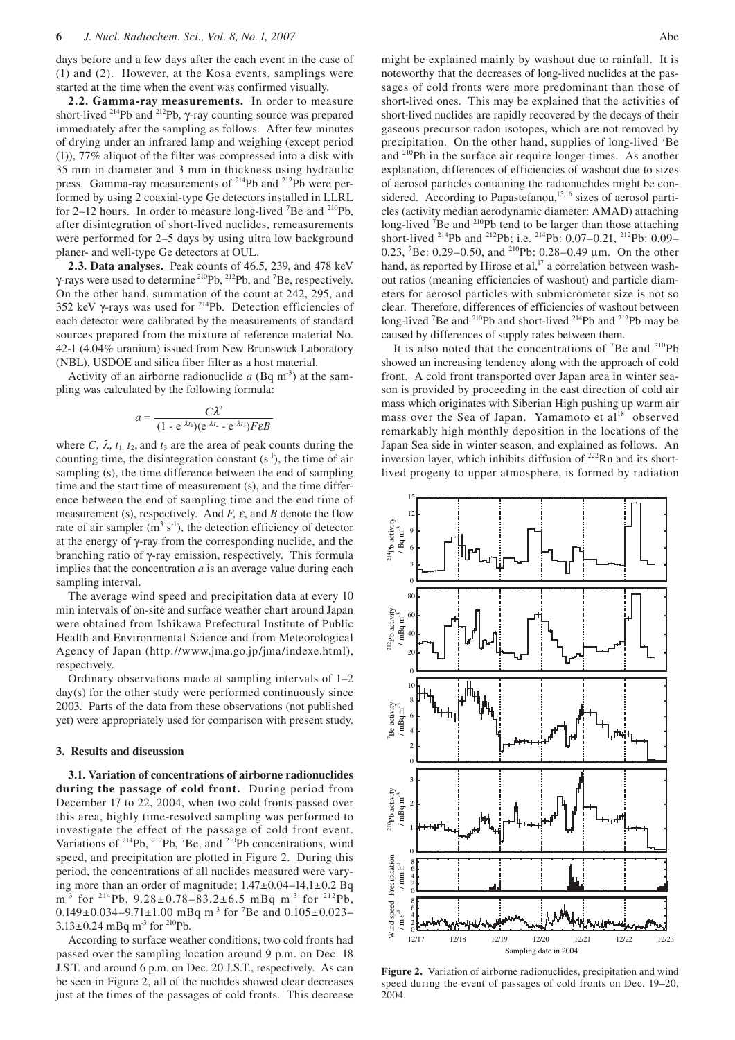days before and a few days after the each event in the case of (1) and (2). However, at the Kosa events, samplings were started at the time when the event was confirmed visually.

**2.2. Gamma-ray measurements.** In order to measure short-lived 214Pb and 212Pb, γ-ray counting source was prepared immediately after the sampling as follows. After few minutes of drying under an infrared lamp and weighing (except period (1)), 77% aliquot of the filter was compressed into a disk with 35 mm in diameter and 3 mm in thickness using hydraulic press. Gamma-ray measurements of 214Pb and 212Pb were performed by using 2 coaxial-type Ge detectors installed in LLRL for 2–12 hours. In order to measure long-lived  $^7$ Be and  $^{210}$ Pb, after disintegration of short-lived nuclides, remeasurements were performed for 2–5 days by using ultra low background planer- and well-type Ge detectors at OUL.

**2.3. Data analyses.** Peak counts of 46.5, 239, and 478 keV γ-rays were used to determine <sup>210</sup>Pb, <sup>212</sup>Pb, and <sup>7</sup>Be, respectively. On the other hand, summation of the count at 242, 295, and 352 keV γ-rays was used for 214Pb. Detection efficiencies of each detector were calibrated by the measurements of standard sources prepared from the mixture of reference material No. 42-1 (4.04% uranium) issued from New Brunswick Laboratory (NBL), USDOE and silica fiber filter as a host material.

Activity of an airborne radionuclide  $a$  (Bq m<sup>-3</sup>) at the sampling was calculated by the following formula:

$$
a = \frac{C\lambda^2}{(1 - e^{-\lambda t_1})(e^{-\lambda t_2} - e^{-\lambda t_3})F\epsilon B}
$$

where *C*,  $\lambda$ ,  $t_1$ ,  $t_2$ , and  $t_3$  are the area of peak counts during the counting time, the disintegration constant  $(s<sup>-1</sup>)$ , the time of air sampling (s), the time difference between the end of sampling time and the start time of measurement (s), and the time difference between the end of sampling time and the end time of measurement (s), respectively. And *F,* <sup>ε</sup>, and *B* denote the flow rate of air sampler  $(m^3 s^{-1})$ , the detection efficiency of detector at the energy of γ-ray from the corresponding nuclide, and the branching ratio of γ-ray emission, respectively. This formula implies that the concentration *a* is an average value during each sampling interval.

The average wind speed and precipitation data at every 10 min intervals of on-site and surface weather chart around Japan were obtained from Ishikawa Prefectural Institute of Public Health and Environmental Science and from Meteorological Agency of Japan (http://www.jma.go.jp/jma/indexe.html), respectively.

Ordinary observations made at sampling intervals of 1–2 day(s) for the other study were performed continuously since 2003. Parts of the data from these observations (not published yet) were appropriately used for comparison with present study.

### **3. Results and discussion**

**3.1. Variation of concentrations of airborne radionuclides during the passage of cold front.** During period from December 17 to 22, 2004, when two cold fronts passed over this area, highly time-resolved sampling was performed to investigate the effect of the passage of cold front event. Variations of  $2^{14}Pb$ ,  $2^{12}Pb$ ,  $7Be$ , and  $2^{10}Pb$  concentrations, wind speed, and precipitation are plotted in Figure 2. During this period, the concentrations of all nuclides measured were varying more than an order of magnitude; 1.47±0.04–14.1±0.2 Bq  $m^{-3}$  for <sup>214</sup>Pb, 9.28±0.78-83.2±6.5 mBq m<sup>-3</sup> for <sup>212</sup>Pb,  $0.149 \pm 0.034 - 9.71 \pm 1.00$  mBq m<sup>-3</sup> for <sup>7</sup>Be and  $0.105 \pm 0.023 3.13\pm0.24$  mBq m<sup>-3</sup> for <sup>210</sup>Pb.

According to surface weather conditions, two cold fronts had passed over the sampling location around 9 p.m. on Dec. 18 J.S.T. and around 6 p.m. on Dec. 20 J.S.T., respectively. As can be seen in Figure 2, all of the nuclides showed clear decreases just at the times of the passages of cold fronts. This decrease

might be explained mainly by washout due to rainfall. It is noteworthy that the decreases of long-lived nuclides at the passages of cold fronts were more predominant than those of short-lived ones. This may be explained that the activities of short-lived nuclides are rapidly recovered by the decays of their gaseous precursor radon isotopes, which are not removed by precipitation. On the other hand, supplies of long-lived <sup>7</sup>Be and <sup>210</sup>Pb in the surface air require longer times. As another explanation, differences of efficiencies of washout due to sizes of aerosol particles containing the radionuclides might be considered. According to Papastefanou,<sup>15,16</sup> sizes of aerosol particles (activity median aerodynamic diameter: AMAD) attaching long-lived <sup>7</sup>Be and <sup>210</sup>Pb tend to be larger than those attaching short-lived <sup>214</sup>Pb and <sup>212</sup>Pb; i.e. <sup>214</sup>Pb: 0.07–0.21, <sup>212</sup>Pb: 0.09– 0.23, 7 Be: 0.29–0.50, and 210Pb: 0.28–0.49 µm. On the other hand, as reported by Hirose et al, $^{17}$  a correlation between washout ratios (meaning efficiencies of washout) and particle diameters for aerosol particles with submicrometer size is not so clear. Therefore, differences of efficiencies of washout between long-lived <sup>7</sup>Be and <sup>210</sup>Pb and short-lived <sup>214</sup>Pb and <sup>212</sup>Pb may be caused by differences of supply rates between them.

It is also noted that the concentrations of  $\mathrm{^{7}Be}$  and  $\mathrm{^{210}Pb}$ showed an increasing tendency along with the approach of cold front. A cold front transported over Japan area in winter season is provided by proceeding in the east direction of cold air mass which originates with Siberian High pushing up warm air mass over the Sea of Japan. Yamamoto et al<sup>18</sup> observed remarkably high monthly deposition in the locations of the Japan Sea side in winter season, and explained as follows. An inversion layer, which inhibits diffusion of  $^{222}$ Rn and its shortlived progeny to upper atmosphere, is formed by radiation



**Figure 2.** Variation of airborne radionuclides, precipitation and wind speed during the event of passages of cold fronts on Dec. 19–20, 2004.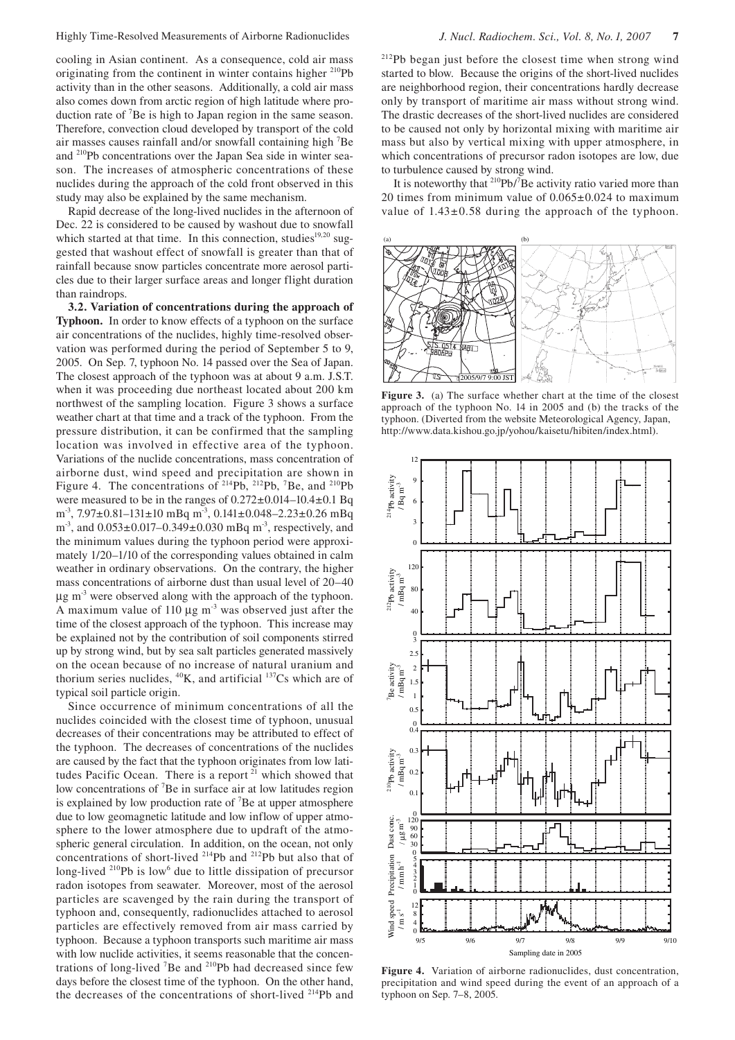cooling in Asian continent. As a consequence, cold air mass originating from the continent in winter contains higher <sup>210</sup>Pb activity than in the other seasons. Additionally, a cold air mass also comes down from arctic region of high latitude where production rate of 7 Be is high to Japan region in the same season. Therefore, convection cloud developed by transport of the cold air masses causes rainfall and/or snowfall containing high 7 Be and 210Pb concentrations over the Japan Sea side in winter season. The increases of atmospheric concentrations of these nuclides during the approach of the cold front observed in this study may also be explained by the same mechanism.

Rapid decrease of the long-lived nuclides in the afternoon of Dec. 22 is considered to be caused by washout due to snowfall which started at that time. In this connection, studies<sup>19,20</sup> suggested that washout effect of snowfall is greater than that of rainfall because snow particles concentrate more aerosol particles due to their larger surface areas and longer flight duration than raindrops.

**3.2. Variation of concentrations during the approach of Typhoon.** In order to know effects of a typhoon on the surface air concentrations of the nuclides, highly time-resolved observation was performed during the period of September 5 to 9, 2005. On Sep. 7, typhoon No. 14 passed over the Sea of Japan. The closest approach of the typhoon was at about 9 a.m. J.S.T. when it was proceeding due northeast located about 200 km northwest of the sampling location. Figure 3 shows a surface weather chart at that time and a track of the typhoon. From the pressure distribution, it can be confirmed that the sampling location was involved in effective area of the typhoon. Variations of the nuclide concentrations, mass concentration of airborne dust, wind speed and precipitation are shown in Figure 4. The concentrations of  $^{214}Pb$ ,  $^{212}Pb$ ,  $^{7}Be$ , and  $^{210}Pb$ were measured to be in the ranges of  $0.272 \pm 0.014 - 10.4 \pm 0.1$  Bq m<sup>-3</sup>,  $7.97\pm0.81-131\pm10$  mBq m<sup>-3</sup>,  $0.141\pm0.048-2.23\pm0.26$  mBq  $m<sup>3</sup>$ , and  $0.053 \pm 0.017 - 0.349 \pm 0.030$  mBq m<sup>-3</sup>, respectively, and the minimum values during the typhoon period were approximately 1/20–1/10 of the corresponding values obtained in calm weather in ordinary observations. On the contrary, the higher mass concentrations of airborne dust than usual level of 20–40  $\mu$ g m<sup>-3</sup> were observed along with the approach of the typhoon. A maximum value of 110  $\mu$ g m<sup>-3</sup> was observed just after the time of the closest approach of the typhoon. This increase may be explained not by the contribution of soil components stirred up by strong wind, but by sea salt particles generated massively on the ocean because of no increase of natural uranium and thorium series nuclides,  ${}^{40}K$ , and artificial  ${}^{137}Cs$  which are of typical soil particle origin.

Since occurrence of minimum concentrations of all the nuclides coincided with the closest time of typhoon, unusual decreases of their concentrations may be attributed to effect of the typhoon. The decreases of concentrations of the nuclides are caused by the fact that the typhoon originates from low latitudes Pacific Ocean. There is a report  $2\overline{1}$  which showed that low concentrations of <sup>7</sup>Be in surface air at low latitudes region is explained by low production rate of <sup>7</sup>Be at upper atmosphere due to low geomagnetic latitude and low inflow of upper atmosphere to the lower atmosphere due to updraft of the atmospheric general circulation. In addition, on the ocean, not only concentrations of short-lived 214Pb and 212Pb but also that of long-lived  $2^{10}Pb$  is low<sup>6</sup> due to little dissipation of precursor radon isotopes from seawater. Moreover, most of the aerosol particles are scavenged by the rain during the transport of typhoon and, consequently, radionuclides attached to aerosol particles are effectively removed from air mass carried by typhoon. Because a typhoon transports such maritime air mass with low nuclide activities, it seems reasonable that the concentrations of long-lived <sup>7</sup>Be and <sup>210</sup>Pb had decreased since few days before the closest time of the typhoon. On the other hand, the decreases of the concentrations of short-lived <sup>214</sup>Pb and

<sup>212</sup>Pb began just before the closest time when strong wind started to blow. Because the origins of the short-lived nuclides are neighborhood region, their concentrations hardly decrease only by transport of maritime air mass without strong wind. The drastic decreases of the short-lived nuclides are considered to be caused not only by horizontal mixing with maritime air mass but also by vertical mixing with upper atmosphere, in which concentrations of precursor radon isotopes are low, due to turbulence caused by strong wind.

It is noteworthy that <sup>210</sup>Pb/<sup>7</sup>Be activity ratio varied more than 20 times from minimum value of  $0.065\pm0.024$  to maximum value of  $1.43\pm0.58$  during the approach of the typhoon.



Figure 3. (a) The surface whether chart at the time of the closest approach of the typhoon No. 14 in 2005 and (b) the tracks of the typhoon. (Diverted from the website Meteorological Agency, Japan, http://www.data.kishou.go.jp/yohou/kaisetu/hibiten/index.html).



**Figure 4.** Variation of airborne radionuclides, dust concentration, precipitation and wind speed during the event of an approach of a typhoon on Sep. 7–8, 2005.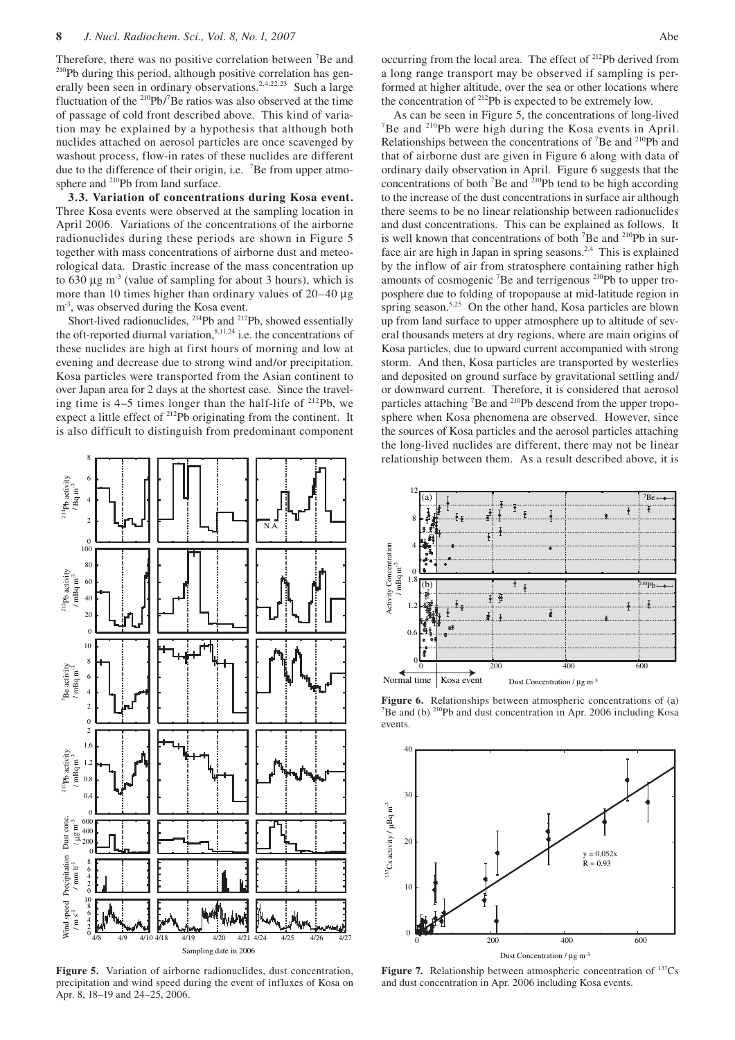Therefore, there was no positive correlation between <sup>7</sup>Be and <sup>210</sup>Pb during this period, although positive correlation has generally been seen in ordinary observations.<sup>2,4,22,23</sup> Such a large fluctuation of the  $2^{10}Pb/7Be$  ratios was also observed at the time of passage of cold front described above. This kind of variation may be explained by a hypothesis that although both nuclides attached on aerosol particles are once scavenged by washout process, flow-in rates of these nuclides are different due to the difference of their origin, i.e. <sup>7</sup>Be from upper atmosphere and <sup>210</sup>Pb from land surface.

**3.3. Variation of concentrations during Kosa event.**  Three Kosa events were observed at the sampling location in April 2006. Variations of the concentrations of the airborne radionuclides during these periods are shown in Figure 5 together with mass concentrations of airborne dust and meteorological data. Drastic increase of the mass concentration up to 630  $\mu$ g m<sup>-3</sup> (value of sampling for about 3 hours), which is more than 10 times higher than ordinary values of 20–40 µg m<sup>-3</sup>, was observed during the Kosa event.

Short-lived radionuclides, <sup>214</sup>Pb and <sup>212</sup>Pb, showed essentially the oft-reported diurnal variation, $8,11,24$  i.e. the concentrations of these nuclides are high at first hours of morning and low at evening and decrease due to strong wind and/or precipitation. Kosa particles were transported from the Asian continent to over Japan area for 2 days at the shortest case. Since the traveling time is  $4-5$  times longer than the half-life of  $212Pb$ , we expect a little effect of <sup>212</sup>Pb originating from the continent. It is also difficult to distinguish from predominant component



**Figure 5.** Variation of airborne radionuclides, dust concentration, precipitation and wind speed during the event of influxes of Kosa on Apr. 8, 18–19 and 24–25, 2006.

occurring from the local area. The effect of <sup>212</sup>Pb derived from a long range transport may be observed if sampling is performed at higher altitude, over the sea or other locations where the concentration of  $^{212}Pb$  is expected to be extremely low.

As can be seen in Figure  $5$ , the concentrations of long-lived  ${}^{7}$ Be and  ${}^{210}$ Pb were high during the Kosa events in April. Relationships between the concentrations of <sup>7</sup>Be and <sup>210</sup>Pb and that of airborne dust are given in Figure 6 along with data of ordinary daily observation in April. Figure 6 suggests that the concentrations of both <sup>7</sup>Be and <sup>210</sup>Pb tend to be high according to the increase of the dust concentrations in surface air although there seems to be no linear relationship between radionuclides and dust concentrations. This can be explained as follows. It is well known that concentrations of both  ${}^{7}Be$  and  ${}^{210}Pb$  in surface air are high in Japan in spring seasons.<sup>2,4</sup> This is explained by the inflow of air from stratosphere containing rather high amounts of cosmogenic <sup>7</sup>Be and terrigenous <sup>210</sup>Pb to upper troposphere due to folding of tropopause at mid-latitude region in spring season.<sup>5,25</sup> On the other hand, Kosa particles are blown up from land surface to upper atmosphere up to altitude of several thousands meters at dry regions, where are main origins of Kosa particles, due to upward current accompanied with strong storm. And then, Kosa particles are transported by westerlies and deposited on ground surface by gravitational settling and/ or downward current. Therefore, it is considered that aerosol particles attaching <sup>7</sup>Be and <sup>210</sup>Pb descend from the upper troposphere when Kosa phenomena are observed. However, since the sources of Kosa particles and the aerosol particles attaching the long-lived nuclides are different, there may not be linear relationship between them. As a result described above, it is



**Figure 6.** Relationships between atmospheric concentrations of (a)  $^7$ Be and (b)  $^{210}$ Pb and dust concentration in Apr. 2006 including Kosa events.



**Figure 7.** Relationship between atmospheric concentration of <sup>137</sup>Cs and dust concentration in Apr. 2006 including Kosa events.